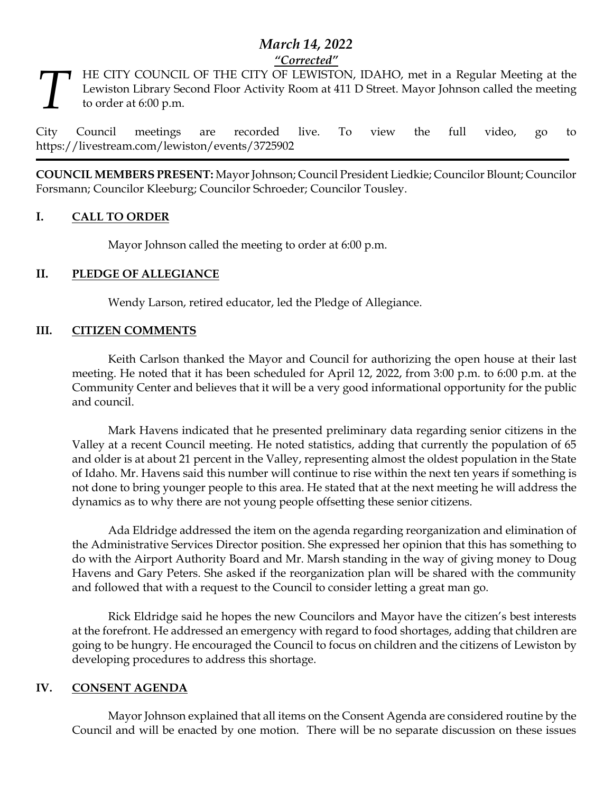# *March 14, 2022 "Corrected"*

HE CITY COUNCIL OF THE CITY OF LEWISTON, IDAHO, met in a Regular Meeting at the Lewiston Library Second Floor Activity Room at 411 D Street. Mayor Johnson called the meeting to order at 6:00 p.m. *T*

City Council meetings are recorded live. To view the full video, go to https://livestream.com/lewiston/events/3725902

**COUNCIL MEMBERS PRESENT:** Mayor Johnson; Council President Liedkie; Councilor Blount; Councilor Forsmann; Councilor Kleeburg; Councilor Schroeder; Councilor Tousley.

## **I. CALL TO ORDER**

Mayor Johnson called the meeting to order at 6:00 p.m.

## **II. PLEDGE OF ALLEGIANCE**

Wendy Larson, retired educator, led the Pledge of Allegiance.

### **III. CITIZEN COMMENTS**

Keith Carlson thanked the Mayor and Council for authorizing the open house at their last meeting. He noted that it has been scheduled for April 12, 2022, from 3:00 p.m. to 6:00 p.m. at the Community Center and believes that it will be a very good informational opportunity for the public and council.

Mark Havens indicated that he presented preliminary data regarding senior citizens in the Valley at a recent Council meeting. He noted statistics, adding that currently the population of 65 and older is at about 21 percent in the Valley, representing almost the oldest population in the State of Idaho. Mr. Havens said this number will continue to rise within the next ten years if something is not done to bring younger people to this area. He stated that at the next meeting he will address the dynamics as to why there are not young people offsetting these senior citizens.

Ada Eldridge addressed the item on the agenda regarding reorganization and elimination of the Administrative Services Director position. She expressed her opinion that this has something to do with the Airport Authority Board and Mr. Marsh standing in the way of giving money to Doug Havens and Gary Peters. She asked if the reorganization plan will be shared with the community and followed that with a request to the Council to consider letting a great man go.

Rick Eldridge said he hopes the new Councilors and Mayor have the citizen's best interests at the forefront. He addressed an emergency with regard to food shortages, adding that children are going to be hungry. He encouraged the Council to focus on children and the citizens of Lewiston by developing procedures to address this shortage.

#### **IV. CONSENT AGENDA**

Mayor Johnson explained that all items on the Consent Agenda are considered routine by the Council and will be enacted by one motion. There will be no separate discussion on these issues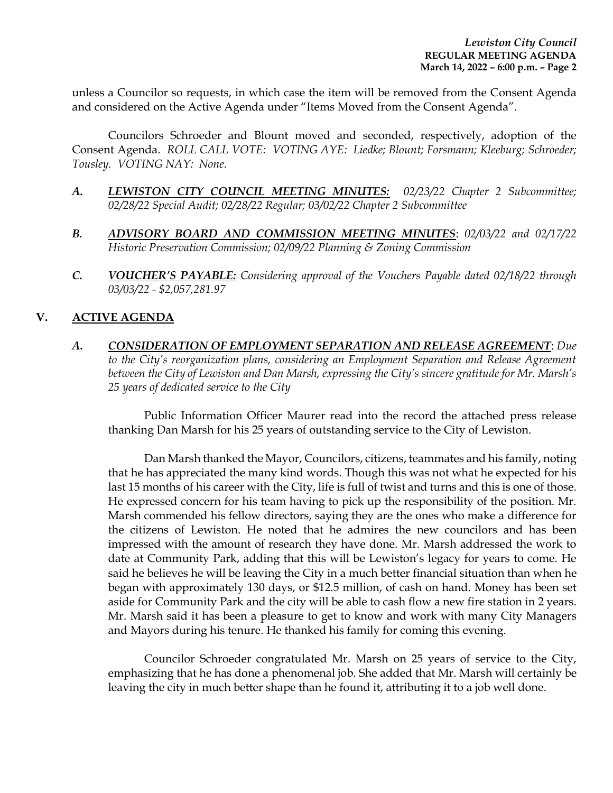unless a Councilor so requests, in which case the item will be removed from the Consent Agenda and considered on the Active Agenda under "Items Moved from the Consent Agenda".

Councilors Schroeder and Blount moved and seconded, respectively, adoption of the Consent Agenda. *ROLL CALL VOTE: VOTING AYE: Liedke; Blount; Forsmann; Kleeburg; Schroeder; Tousley. VOTING NAY: None.* 

- *A. LEWISTON CITY COUNCIL MEETING MINUTES: 02/23/22 Chapter 2 Subcommittee; 02/28/22 Special Audit; 02/28/22 Regular; 03/02/22 Chapter 2 Subcommittee*
- *B. ADVISORY BOARD AND COMMISSION MEETING MINUTES*: *02/03/22 and 02/17/22 Historic Preservation Commission; 02/09/22 Planning & Zoning Commission*
- *C. VOUCHER'S PAYABLE: Considering approval of the Vouchers Payable dated 02/18/22 through 03/03/22 - \$2,057,281.97*

## **V. ACTIVE AGENDA**

*A. CONSIDERATION OF EMPLOYMENT SEPARATION AND RELEASE AGREEMENT*: *Due to the City's reorganization plans, considering an Employment Separation and Release Agreement between the City of Lewiston and Dan Marsh, expressing the City's sincere gratitude for Mr. Marsh's 25 years of dedicated service to the City* 

Public Information Officer Maurer read into the record the attached press release thanking Dan Marsh for his 25 years of outstanding service to the City of Lewiston.

Dan Marsh thanked the Mayor, Councilors, citizens, teammates and his family, noting that he has appreciated the many kind words. Though this was not what he expected for his last 15 months of his career with the City, life is full of twist and turns and this is one of those. He expressed concern for his team having to pick up the responsibility of the position. Mr. Marsh commended his fellow directors, saying they are the ones who make a difference for the citizens of Lewiston. He noted that he admires the new councilors and has been impressed with the amount of research they have done. Mr. Marsh addressed the work to date at Community Park, adding that this will be Lewiston's legacy for years to come. He said he believes he will be leaving the City in a much better financial situation than when he began with approximately 130 days, or \$12.5 million, of cash on hand. Money has been set aside for Community Park and the city will be able to cash flow a new fire station in 2 years. Mr. Marsh said it has been a pleasure to get to know and work with many City Managers and Mayors during his tenure. He thanked his family for coming this evening.

Councilor Schroeder congratulated Mr. Marsh on 25 years of service to the City, emphasizing that he has done a phenomenal job. She added that Mr. Marsh will certainly be leaving the city in much better shape than he found it, attributing it to a job well done.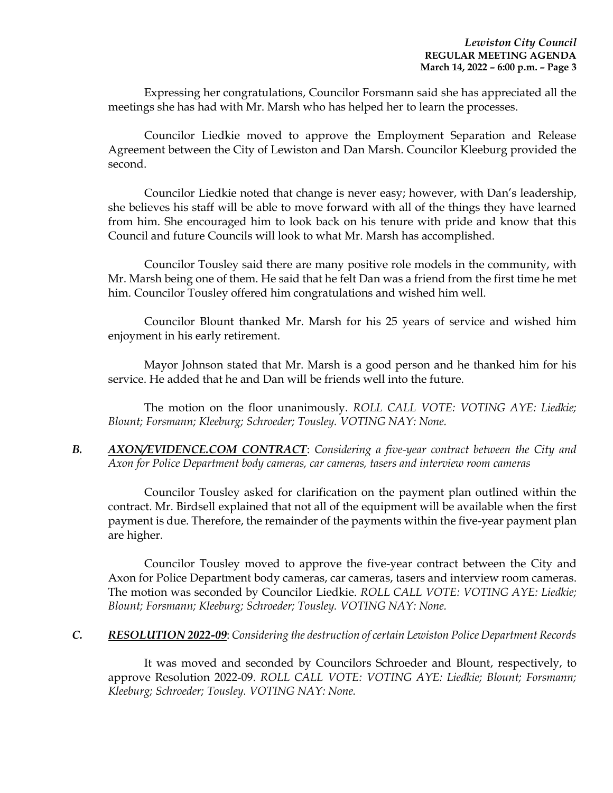Expressing her congratulations, Councilor Forsmann said she has appreciated all the meetings she has had with Mr. Marsh who has helped her to learn the processes.

Councilor Liedkie moved to approve the Employment Separation and Release Agreement between the City of Lewiston and Dan Marsh. Councilor Kleeburg provided the second.

Councilor Liedkie noted that change is never easy; however, with Dan's leadership, she believes his staff will be able to move forward with all of the things they have learned from him. She encouraged him to look back on his tenure with pride and know that this Council and future Councils will look to what Mr. Marsh has accomplished.

Councilor Tousley said there are many positive role models in the community, with Mr. Marsh being one of them. He said that he felt Dan was a friend from the first time he met him. Councilor Tousley offered him congratulations and wished him well.

Councilor Blount thanked Mr. Marsh for his 25 years of service and wished him enjoyment in his early retirement.

Mayor Johnson stated that Mr. Marsh is a good person and he thanked him for his service. He added that he and Dan will be friends well into the future.

The motion on the floor unanimously. *ROLL CALL VOTE: VOTING AYE: Liedkie; Blount; Forsmann; Kleeburg; Schroeder; Tousley. VOTING NAY: None.* 

*B. AXON/EVIDENCE.COM CONTRACT*: *Considering a five-year contract between the City and Axon for Police Department body cameras, car cameras, tasers and interview room cameras* 

Councilor Tousley asked for clarification on the payment plan outlined within the contract. Mr. Birdsell explained that not all of the equipment will be available when the first payment is due. Therefore, the remainder of the payments within the five-year payment plan are higher.

Councilor Tousley moved to approve the five-year contract between the City and Axon for Police Department body cameras, car cameras, tasers and interview room cameras. The motion was seconded by Councilor Liedkie. *ROLL CALL VOTE: VOTING AYE: Liedkie; Blount; Forsmann; Kleeburg; Schroeder; Tousley. VOTING NAY: None.* 

#### *C. RESOLUTION 2022-09*: *Considering the destruction of certain Lewiston Police Department Records*

It was moved and seconded by Councilors Schroeder and Blount, respectively, to approve Resolution 2022-09. *ROLL CALL VOTE: VOTING AYE: Liedkie; Blount; Forsmann; Kleeburg; Schroeder; Tousley. VOTING NAY: None.*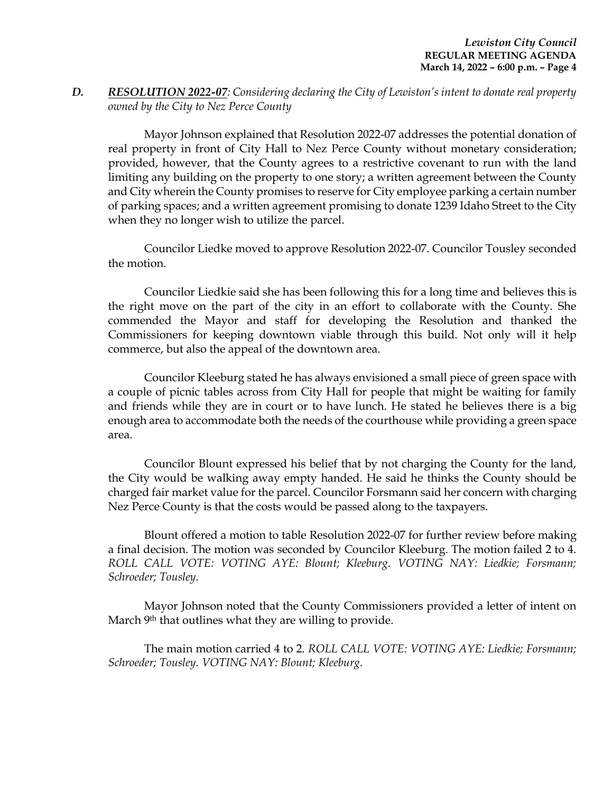## *D. RESOLUTION 2022-07: Considering declaring the City of Lewiston's intent to donate real property owned by the City to Nez Perce County*

Mayor Johnson explained that Resolution 2022-07 addresses the potential donation of real property in front of City Hall to Nez Perce County without monetary consideration; provided, however, that the County agrees to a restrictive covenant to run with the land limiting any building on the property to one story; a written agreement between the County and City wherein the County promises to reserve for City employee parking a certain number of parking spaces; and a written agreement promising to donate 1239 Idaho Street to the City when they no longer wish to utilize the parcel.

Councilor Liedke moved to approve Resolution 2022-07. Councilor Tousley seconded the motion.

Councilor Liedkie said she has been following this for a long time and believes this is the right move on the part of the city in an effort to collaborate with the County. She commended the Mayor and staff for developing the Resolution and thanked the Commissioners for keeping downtown viable through this build. Not only will it help commerce, but also the appeal of the downtown area.

Councilor Kleeburg stated he has always envisioned a small piece of green space with a couple of picnic tables across from City Hall for people that might be waiting for family and friends while they are in court or to have lunch. He stated he believes there is a big enough area to accommodate both the needs of the courthouse while providing a green space area.

Councilor Blount expressed his belief that by not charging the County for the land, the City would be walking away empty handed. He said he thinks the County should be charged fair market value for the parcel. Councilor Forsmann said her concern with charging Nez Perce County is that the costs would be passed along to the taxpayers.

Blount offered a motion to table Resolution 2022-07 for further review before making a final decision. The motion was seconded by Councilor Kleeburg. The motion failed 2 to 4. *ROLL CALL VOTE: VOTING AYE: Blount; Kleeburg. VOTING NAY: Liedkie; Forsmann; Schroeder; Tousley.* 

Mayor Johnson noted that the County Commissioners provided a letter of intent on March 9<sup>th</sup> that outlines what they are willing to provide.

The main motion carried 4 to 2. *ROLL CALL VOTE: VOTING AYE: Liedkie; Forsmann; Schroeder; Tousley. VOTING NAY: Blount; Kleeburg.*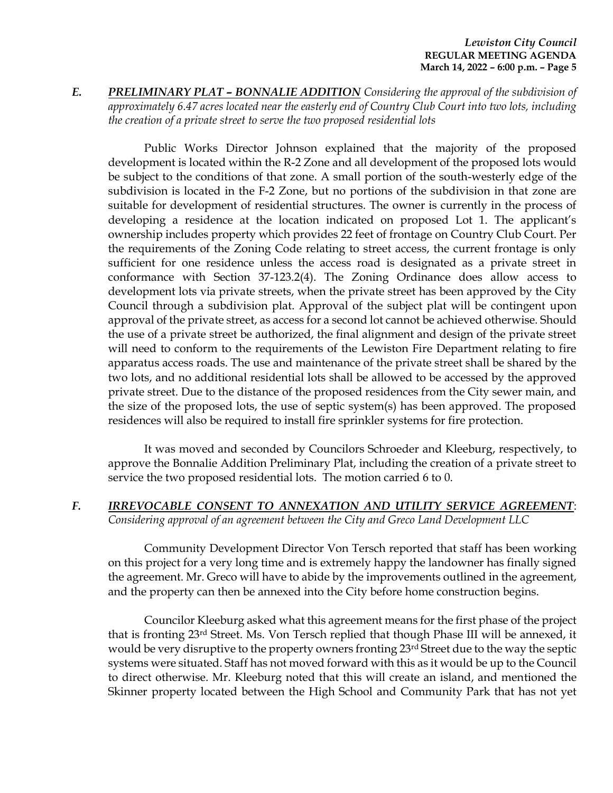*E. PRELIMINARY PLAT – BONNALIE ADDITION Considering the approval of the subdivision of approximately 6.47 acres located near the easterly end of Country Club Court into two lots, including the creation of a private street to serve the two proposed residential lots* 

Public Works Director Johnson explained that the majority of the proposed development is located within the R-2 Zone and all development of the proposed lots would be subject to the conditions of that zone. A small portion of the south-westerly edge of the subdivision is located in the F-2 Zone, but no portions of the subdivision in that zone are suitable for development of residential structures. The owner is currently in the process of developing a residence at the location indicated on proposed Lot 1. The applicant's ownership includes property which provides 22 feet of frontage on Country Club Court. Per the requirements of the Zoning Code relating to street access, the current frontage is only sufficient for one residence unless the access road is designated as a private street in conformance with Section 37-123.2(4). The Zoning Ordinance does allow access to development lots via private streets, when the private street has been approved by the City Council through a subdivision plat. Approval of the subject plat will be contingent upon approval of the private street, as access for a second lot cannot be achieved otherwise. Should the use of a private street be authorized, the final alignment and design of the private street will need to conform to the requirements of the Lewiston Fire Department relating to fire apparatus access roads. The use and maintenance of the private street shall be shared by the two lots, and no additional residential lots shall be allowed to be accessed by the approved private street. Due to the distance of the proposed residences from the City sewer main, and the size of the proposed lots, the use of septic system(s) has been approved. The proposed residences will also be required to install fire sprinkler systems for fire protection.

It was moved and seconded by Councilors Schroeder and Kleeburg, respectively, to approve the Bonnalie Addition Preliminary Plat, including the creation of a private street to service the two proposed residential lots. The motion carried 6 to 0.

*F. IRREVOCABLE CONSENT TO ANNEXATION AND UTILITY SERVICE AGREEMENT*: *Considering approval of an agreement between the City and Greco Land Development LLC*

Community Development Director Von Tersch reported that staff has been working on this project for a very long time and is extremely happy the landowner has finally signed the agreement. Mr. Greco will have to abide by the improvements outlined in the agreement, and the property can then be annexed into the City before home construction begins.

Councilor Kleeburg asked what this agreement means for the first phase of the project that is fronting 23rd Street. Ms. Von Tersch replied that though Phase III will be annexed, it would be very disruptive to the property owners fronting 23<sup>rd</sup> Street due to the way the septic systems were situated. Staff has not moved forward with this as it would be up to the Council to direct otherwise. Mr. Kleeburg noted that this will create an island, and mentioned the Skinner property located between the High School and Community Park that has not yet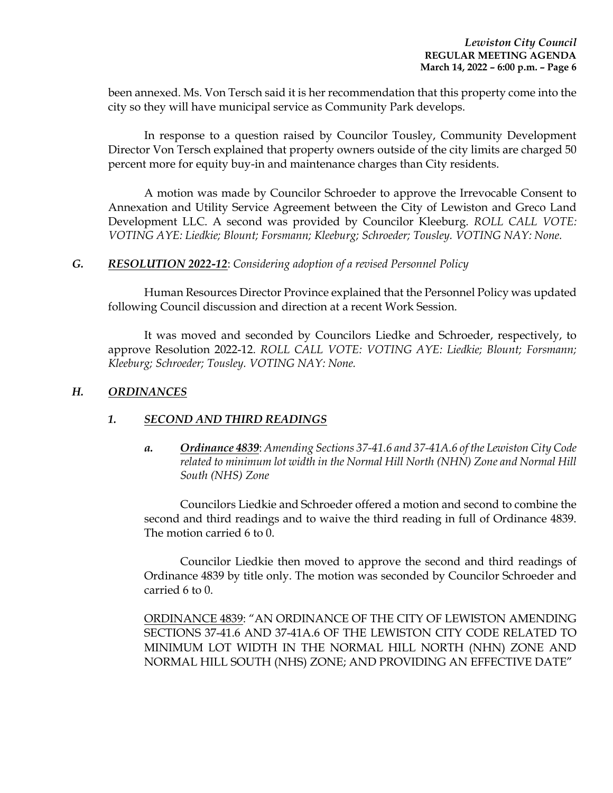been annexed. Ms. Von Tersch said it is her recommendation that this property come into the city so they will have municipal service as Community Park develops.

In response to a question raised by Councilor Tousley, Community Development Director Von Tersch explained that property owners outside of the city limits are charged 50 percent more for equity buy-in and maintenance charges than City residents.

A motion was made by Councilor Schroeder to approve the Irrevocable Consent to Annexation and Utility Service Agreement between the City of Lewiston and Greco Land Development LLC. A second was provided by Councilor Kleeburg. *ROLL CALL VOTE: VOTING AYE: Liedkie; Blount; Forsmann; Kleeburg; Schroeder; Tousley. VOTING NAY: None.* 

### *G. RESOLUTION 2022-12*: *Considering adoption of a revised Personnel Policy*

Human Resources Director Province explained that the Personnel Policy was updated following Council discussion and direction at a recent Work Session.

It was moved and seconded by Councilors Liedke and Schroeder, respectively, to approve Resolution 2022-12. *ROLL CALL VOTE: VOTING AYE: Liedkie; Blount; Forsmann; Kleeburg; Schroeder; Tousley. VOTING NAY: None.* 

## *H. ORDINANCES*

## *1. SECOND AND THIRD READINGS*

*a. Ordinance 4839*: *Amending Sections 37-41.6 and 37-41A.6 of the Lewiston City Code related to minimum lot width in the Normal Hill North (NHN) Zone and Normal Hill South (NHS) Zone*

Councilors Liedkie and Schroeder offered a motion and second to combine the second and third readings and to waive the third reading in full of Ordinance 4839. The motion carried 6 to 0.

Councilor Liedkie then moved to approve the second and third readings of Ordinance 4839 by title only. The motion was seconded by Councilor Schroeder and carried 6 to 0.

ORDINANCE 4839: "AN ORDINANCE OF THE CITY OF LEWISTON AMENDING SECTIONS 37-41.6 AND 37-41A.6 OF THE LEWISTON CITY CODE RELATED TO MINIMUM LOT WIDTH IN THE NORMAL HILL NORTH (NHN) ZONE AND NORMAL HILL SOUTH (NHS) ZONE; AND PROVIDING AN EFFECTIVE DATE"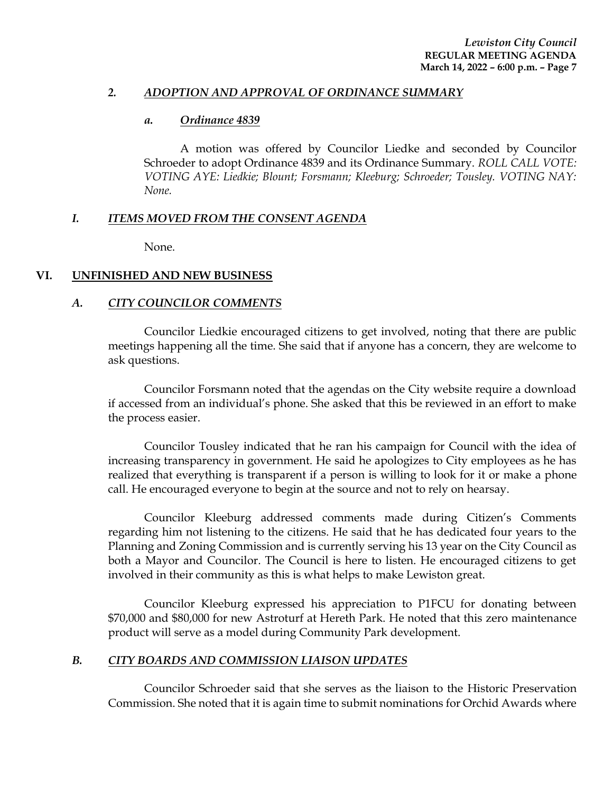#### *2. ADOPTION AND APPROVAL OF ORDINANCE SUMMARY*

#### *a. Ordinance 4839*

A motion was offered by Councilor Liedke and seconded by Councilor Schroeder to adopt Ordinance 4839 and its Ordinance Summary. *ROLL CALL VOTE: VOTING AYE: Liedkie; Blount; Forsmann; Kleeburg; Schroeder; Tousley. VOTING NAY: None.* 

## *I. ITEMS MOVED FROM THE CONSENT AGENDA*

None.

### **VI. UNFINISHED AND NEW BUSINESS**

### *A. CITY COUNCILOR COMMENTS*

Councilor Liedkie encouraged citizens to get involved, noting that there are public meetings happening all the time. She said that if anyone has a concern, they are welcome to ask questions.

Councilor Forsmann noted that the agendas on the City website require a download if accessed from an individual's phone. She asked that this be reviewed in an effort to make the process easier.

Councilor Tousley indicated that he ran his campaign for Council with the idea of increasing transparency in government. He said he apologizes to City employees as he has realized that everything is transparent if a person is willing to look for it or make a phone call. He encouraged everyone to begin at the source and not to rely on hearsay.

Councilor Kleeburg addressed comments made during Citizen's Comments regarding him not listening to the citizens. He said that he has dedicated four years to the Planning and Zoning Commission and is currently serving his 13 year on the City Council as both a Mayor and Councilor. The Council is here to listen. He encouraged citizens to get involved in their community as this is what helps to make Lewiston great.

Councilor Kleeburg expressed his appreciation to P1FCU for donating between \$70,000 and \$80,000 for new Astroturf at Hereth Park. He noted that this zero maintenance product will serve as a model during Community Park development.

#### *B. CITY BOARDS AND COMMISSION LIAISON UPDATES*

Councilor Schroeder said that she serves as the liaison to the Historic Preservation Commission. She noted that it is again time to submit nominations for Orchid Awards where